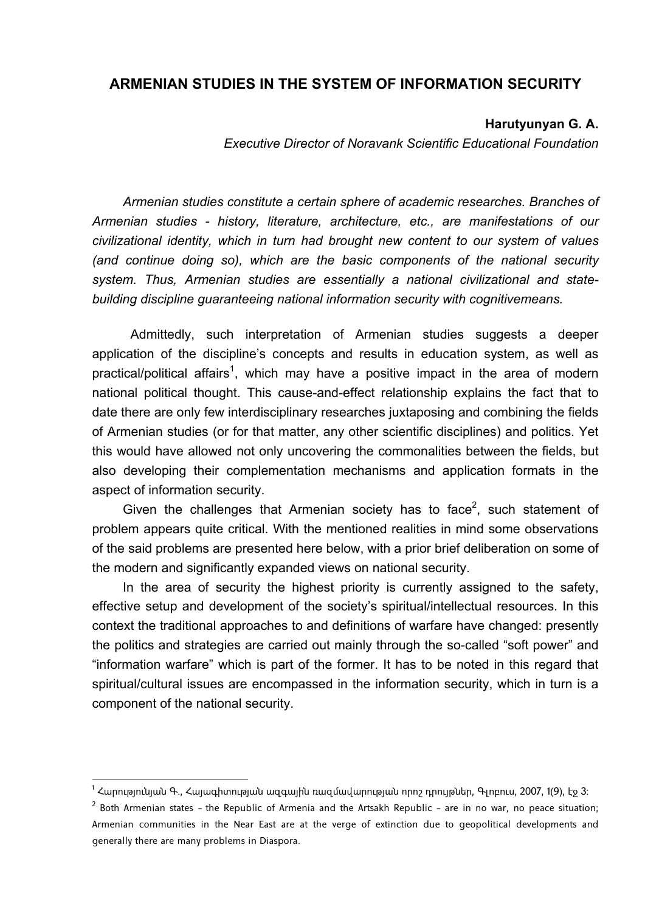## **ARMENIAN STUDIES IN THE SYSTEM OF INFORMATION SECURITY**

## **Harutyunyan G. A.**

*Executive Director of Noravank Scientific Educational Foundation*

*Armenian studies constitute a certain sphere of academic researches. Branches of Armenian studies - history, literature, architecture, etc., are manifestations of our civilizational identity, which in turn had brought new content to our system of values (and continue doing so), which are the basic components of the national security system. Thus, Armenian studies are essentially a national civilizational and statebuilding discipline guaranteeing national information security with cognitivemeans.* 

 Admittedly, such interpretation of Armenian studies suggests a deeper application of the discipline's concepts and results in education system, as well as practical/political affairs<sup>1</sup>, which may have a positive impact in the area of modern national political thought. This cause-and-effect relationship explains the fact that to date there are only few interdisciplinary researches juxtaposing and combining the fields of Armenian studies (or for that matter, any other scientific disciplines) and politics. Yet this would have allowed not only uncovering the commonalities between the fields, but also developing their complementation mechanisms and application formats in the aspect of information security.

Given the challenges that Armenian society has to face<sup>2</sup>, such statement of problem appears quite critical. With the mentioned realities in mind some observations of the said problems are presented here below, with a prior brief deliberation on some of the modern and significantly expanded views on national security.

In the area of security the highest priority is currently assigned to the safety. effective setup and development of the society's spiritual/intellectual resources. In this context the traditional approaches to and definitions of warfare have changed: presently the politics and strategies are carried out mainly through the so-called "soft power" and "information warfare" which is part of the former. It has to be noted in this regard that spiritual/cultural issues are encompassed in the information security, which in turn is a component of the national security.

1

<sup>&</sup>lt;sup>1</sup> Հարությունյան Գ., Հայագիտության ազգային ռազմավարության որոշ դրույթներ, Գլոբուս, 2007, 1(9), էջ 3։

<sup>&</sup>lt;sup>2</sup> Both Armenian states – the Republic of Armenia and the Artsakh Republic – are in no war, no peace situation; Armenian communities in the Near East are at the verge of extinction due to geopolitical developments and generally there are many problems in Diaspora.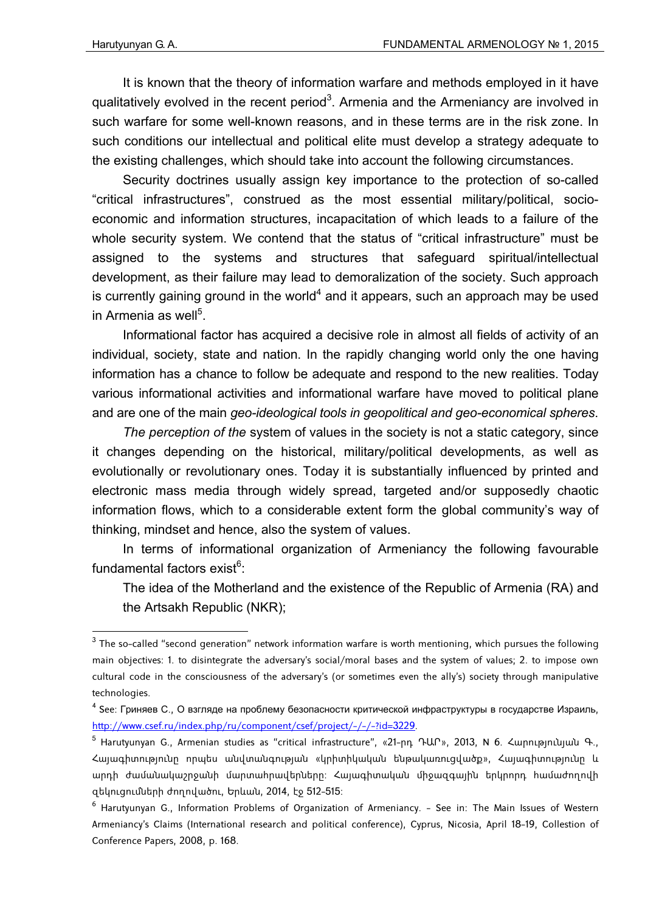1

It is known that the theory of information warfare and methods employed in it have qualitatively evolved in the recent period<sup>3</sup>. Armenia and the Armeniancy are involved in such warfare for some well-known reasons, and in these terms are in the risk zone. In such conditions our intellectual and political elite must develop a strategy adequate to the existing challenges, which should take into account the following circumstances.

Security doctrines usually assign key importance to the protection of so-called "critical infrastructures", construed as the most essential military/political, socioeconomic and information structures, incapacitation of which leads to a failure of the whole security system. We contend that the status of "critical infrastructure" must be assigned to the systems and structures that safeguard spiritual/intellectual development, as their failure may lead to demoralization of the society. Such approach is currently gaining ground in the world<sup>4</sup> and it appears, such an approach may be used in Armenia as well<sup>5</sup>.

Informational factor has acquired a decisive role in almost all fields of activity of an individual, society, state and nation. In the rapidly changing world only the one having information has a chance to follow be adequate and respond to the new realities. Today various informational activities and informational warfare have moved to political plane and are one of the main *geo-ideological tools in geopolitical and geo-economical spheres*.

*The perception of the* system of values in the society is not a static category, since it changes depending on the historical, military/political developments, as well as evolutionally or revolutionary ones. Today it is substantially influenced by printed and electronic mass media through widely spread, targeted and/or supposedly chaotic information flows, which to a considerable extent form the global community's way of thinking, mindset and hence, also the system of values.

In terms of informational organization of Armeniancy the following favourable fundamental factors exist<sup>6</sup>:

The idea of the Motherland and the existence of the Republic of Armenia (RA) and the Artsakh Republic (NKR);

 $^3$  The so-called "second generation" network information warfare is worth mentioning, which pursues the following main objectives: 1. to disintegrate the adversary's social/moral bases and the system of values; 2. to impose own cultural code in the consciousness of the adversary's (or sometimes even the ally's) society through manipulative technologies.

<sup>&</sup>lt;sup>4</sup> See: Гриняев С., О взгляде на проблему безопасности критической инфраструктуры в государстве Израиль, http://www.csef.ru/index.php/ru/component/csef/project/-/-/-?id=3229.

<sup>5</sup> Harutyunyan G., Armenian studies as "critical infrastructure", «21-րդ ԴԱՐ», 2013, N 6. Հարությունյան Գ., Հայագիտությունը որպես անվտանգության «կրիտիկական ենթակառուցվածք», Հայագիտությունը և արդի ժամանակաշրջանի մարտահրավերները: Հայագիտական միջազգային երկրորդ համաժողովի զեկուցումների ժողովածու, Երևան, 2014, էջ 512-515:

 $^6$  Harutyunyan G., Information Problems of Organization of Armeniancy. – See in: The Main Issues of Western Armeniancy's Claims (International research and political conference), Cyprus, Nicosia, April 18-19, Collestion of Conference Papers, 2008, p. 168.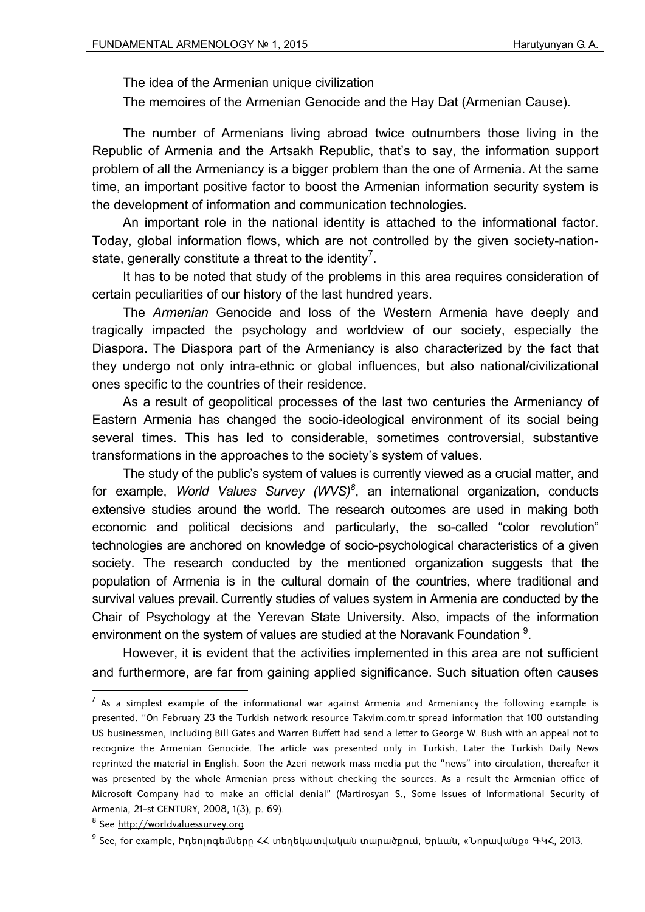The idea of the Armenian unique civilization

The memoires of the Armenian Genocide and the Hay Dat (Armenian Cause).

The number of Armenians living abroad twice outnumbers those living in the Republic of Armenia and the Artsakh Republic, that's to say, the information support problem of all the Armeniancy is a bigger problem than the one of Armenia. At the same time, an important positive factor to boost the Armenian information security system is the development of information and communication technologies.

An important role in the national identity is attached to the informational factor. Today, global information flows, which are not controlled by the given society-nationstate, generally constitute a threat to the identity<sup>7</sup>.

It has to be noted that study of the problems in this area requires consideration of certain peculiarities of our history of the last hundred years.

The *Armenian* Genocide and loss of the Western Armenia have deeply and tragically impacted the psychology and worldview of our society, especially the Diaspora. The Diaspora part of the Armeniancy is also characterized by the fact that they undergo not only intra-ethnic or global influences, but also national/civilizational ones specific to the countries of their residence.

As a result of geopolitical processes of the last two centuries the Armeniancy of Eastern Armenia has changed the socio-ideological environment of its social being several times. This has led to considerable, sometimes controversial, substantive transformations in the approaches to the society's system of values.

The study of the public's system of values is currently viewed as a crucial matter, and for example, *World Values Survey (WVS)<sup>8</sup>*, an international organization, conducts extensive studies around the world. The research outcomes are used in making both economic and political decisions and particularly, the so-called "color revolution" technologies are anchored on knowledge of socio-psychological characteristics of a given society. The research conducted by the mentioned organization suggests that the population of Armenia is in the cultural domain of the countries, where traditional and survival values prevail. Currently studies of values system in Armenia are conducted by the Chair of Psychology at the Yerevan State University. Also, impacts of the information environment on the system of values are studied at the Noravank Foundation  $9$ .

However, it is evident that the activities implemented in this area are not sufficient and furthermore, are far from gaining applied significance. Such situation often causes

1

 $<sup>7</sup>$  As a simplest example of the informational war against Armenia and Armeniancy the following example is</sup> presented. "On February 23 the Turkish network resource Takvim.com.tr spread information that 100 outstanding US businessmen, including Bill Gates and Warren Buffett had send a letter to George W. Bush with an appeal not to recognize the Armenian Genocide. The article was presented only in Turkish. Later the Turkish Daily News reprinted the material in English. Soon the Azeri network mass media put the "news" into circulation, thereafter it was presented by the whole Armenian press without checking the sources. As a result the Armenian office of Microsoft Company had to make an official denial" (Martirosyan S., Some Issues of Informational Security of Armenia, 21-st CENTURY, 2008, 1(3), p. 69).

<sup>&</sup>lt;sup>8</sup> See http://worldvaluessurvey.org

<sup>9</sup> See, for example, Իդեոլոգեմները ՀՀ տեղեկատվական տարածքում, Երևան, «Նորավանք» ԳԿՀ, 2013.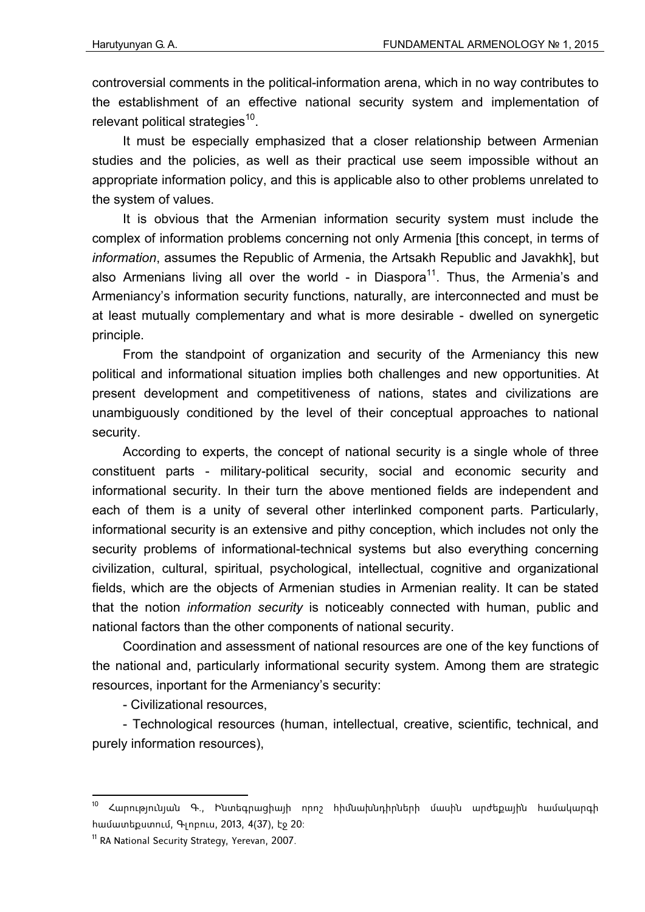controversial comments in the political-information arena, which in no way contributes to the establishment of an effective national security system and implementation of relevant political strategies<sup>10</sup>.

It must be especially emphasized that a closer relationship between Armenian studies and the policies, as well as their practical use seem impossible without an appropriate information policy, and this is applicable also to other problems unrelated to the system of values.

It is obvious that the Armenian information security system must include the complex of information problems concerning not only Armenia [this concept, in terms of *information*, assumes the Republic of Armenia, the Artsakh Republic and Javakhk], but also Armenians living all over the world - in Diaspora<sup>11</sup>. Thus, the Armenia's and Armeniancy's information security functions, naturally, are interconnected and must be at least mutually complementary and what is more desirable - dwelled on synergetic principle.

From the standpoint of organization and security of the Armeniancy this new political and informational situation implies both challenges and new opportunities. At present development and competitiveness of nations, states and civilizations are unambiguously conditioned by the level of their conceptual approaches to national security.

According to experts, the concept of national security is a single whole of three constituent parts - military-political security, social and economic security and informational security. In their turn the above mentioned fields are independent and each of them is a unity of several other interlinked component parts. Particularly, informational security is an extensive and pithy conception, which includes not only the security problems of informational-technical systems but also everything concerning civilization, cultural, spiritual, psychological, intellectual, cognitive and organizational fields, which are the objects of Armenian studies in Armenian reality. It can be stated that the notion *information security* is noticeably connected with human, public and national factors than the other components of national security.

Coordination and assessment of national resources are one of the key functions of the national and, particularly informational security system. Among them are strategic resources, inportant for the Armeniancy's security:

- Civilizational resources,

- Technological resources (human, intellectual, creative, scientific, technical, and purely information resources),

1

<sup>10</sup> Հարությունյան Գ., Ինտեգրացիայի որոշ հիմնախնդիրների մասին արժեքային համակարգի համատեքստում, Գլոբուս, 2013, 4(37), էջ 20:

<sup>&</sup>lt;sup>11</sup> RA National Security Strategy, Yerevan, 2007.